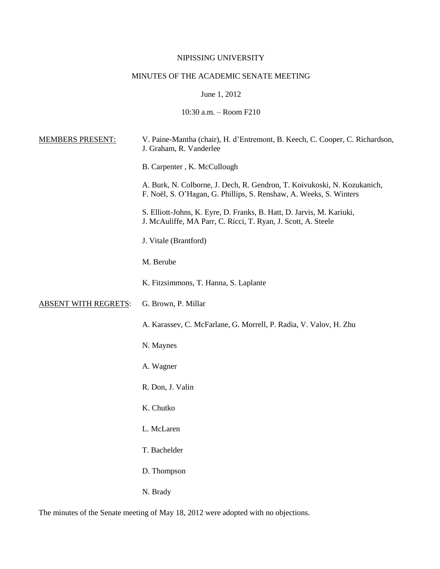## NIPISSING UNIVERSITY

## MINUTES OF THE ACADEMIC SENATE MEETING

June 1, 2012

10:30 a.m. – Room F210

| <b>MEMBERS PRESENT:</b>     | V. Paine-Mantha (chair), H. d'Entremont, B. Keech, C. Cooper, C. Richardson,<br>J. Graham, R. Vanderlee                                        |
|-----------------------------|------------------------------------------------------------------------------------------------------------------------------------------------|
|                             | B. Carpenter, K. McCullough                                                                                                                    |
|                             | A. Burk, N. Colborne, J. Dech, R. Gendron, T. Koivukoski, N. Kozukanich,<br>F. Noël, S. O'Hagan, G. Phillips, S. Renshaw, A. Weeks, S. Winters |
|                             | S. Elliott-Johns, K. Eyre, D. Franks, B. Hatt, D. Jarvis, M. Kariuki,<br>J. McAuliffe, MA Parr, C. Ricci, T. Ryan, J. Scott, A. Steele         |
|                             | J. Vitale (Brantford)                                                                                                                          |
|                             | M. Berube                                                                                                                                      |
|                             | K. Fitzsimmons, T. Hanna, S. Laplante                                                                                                          |
| <b>ABSENT WITH REGRETS:</b> | G. Brown, P. Millar                                                                                                                            |
|                             | A. Karassev, C. McFarlane, G. Morrell, P. Radia, V. Valov, H. Zhu                                                                              |
|                             | N. Maynes                                                                                                                                      |
|                             | A. Wagner                                                                                                                                      |
|                             | R. Don, J. Valin                                                                                                                               |
|                             | K. Chutko                                                                                                                                      |
|                             | L. McLaren                                                                                                                                     |
|                             | T. Bachelder                                                                                                                                   |
|                             | D. Thompson                                                                                                                                    |
|                             | N. Brady                                                                                                                                       |

The minutes of the Senate meeting of May 18, 2012 were adopted with no objections.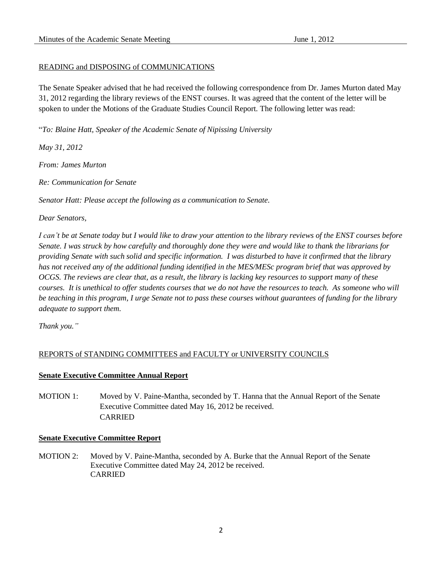## READING and DISPOSING of COMMUNICATIONS

The Senate Speaker advised that he had received the following correspondence from Dr. James Murton dated May 31, 2012 regarding the library reviews of the ENST courses. It was agreed that the content of the letter will be spoken to under the Motions of the Graduate Studies Council Report. The following letter was read:

"*To: Blaine Hatt, Speaker of the Academic Senate of Nipissing University*

*May 31, 2012*

*From: James Murton*

*Re: Communication for Senate*

*Senator Hatt: Please accept the following as a communication to Senate.* 

*Dear Senators,*

*I can't be at Senate today but I would like to draw your attention to the library reviews of the ENST courses before Senate. I was struck by how carefully and thoroughly done they were and would like to thank the librarians for providing Senate with such solid and specific information. I was disturbed to have it confirmed that the library has not received any of the additional funding identified in the MES/MESc program brief that was approved by OCGS. The reviews are clear that, as a result, the library is lacking key resources to support many of these courses. It is unethical to offer students courses that we do not have the resources to teach. As someone who will be teaching in this program, I urge Senate not to pass these courses without guarantees of funding for the library adequate to support them.* 

*Thank you."*

# REPORTS of STANDING COMMITTEES and FACULTY or UNIVERSITY COUNCILS

## **Senate Executive Committee Annual Report**

MOTION 1: Moved by V. Paine-Mantha, seconded by T. Hanna that the Annual Report of the Senate Executive Committee dated May 16, 2012 be received. CARRIED

## **Senate Executive Committee Report**

MOTION 2: Moved by V. Paine-Mantha, seconded by A. Burke that the Annual Report of the Senate Executive Committee dated May 24, 2012 be received. CARRIED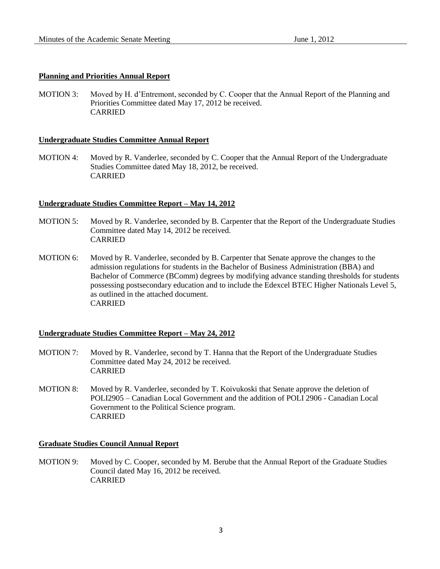### **Planning and Priorities Annual Report**

MOTION 3: Moved by H. d'Entremont, seconded by C. Cooper that the Annual Report of the Planning and Priorities Committee dated May 17, 2012 be received. **CARRIED** 

### **Undergraduate Studies Committee Annual Report**

MOTION 4: Moved by R. Vanderlee, seconded by C. Cooper that the Annual Report of the Undergraduate Studies Committee dated May 18, 2012, be received. CARRIED

## **Undergraduate Studies Committee Report – May 14, 2012**

- MOTION 5: Moved by R. Vanderlee, seconded by B. Carpenter that the Report of the Undergraduate Studies Committee dated May 14, 2012 be received. CARRIED
- MOTION 6: Moved by R. Vanderlee, seconded by B. Carpenter that Senate approve the changes to the admission regulations for students in the Bachelor of Business Administration (BBA) and Bachelor of Commerce (BComm) degrees by modifying advance standing thresholds for students possessing postsecondary education and to include the Edexcel BTEC Higher Nationals Level 5, as outlined in the attached document. CARRIED

## **Undergraduate Studies Committee Report – May 24, 2012**

- MOTION 7: Moved by R. Vanderlee, second by T. Hanna that the Report of the Undergraduate Studies Committee dated May 24, 2012 be received. CARRIED
- MOTION 8: Moved by R. Vanderlee, seconded by T. Koivukoski that Senate approve the deletion of POLI2905 – Canadian Local Government and the addition of POLI 2906 - Canadian Local Government to the Political Science program. CARRIED

## **Graduate Studies Council Annual Report**

MOTION 9: Moved by C. Cooper, seconded by M. Berube that the Annual Report of the Graduate Studies Council dated May 16, 2012 be received. CARRIED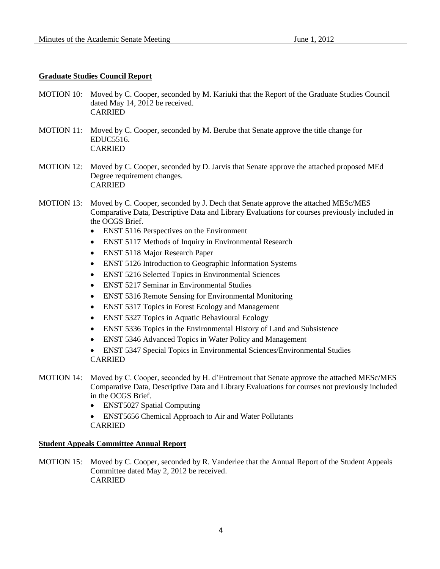### **Graduate Studies Council Report**

- MOTION 10: Moved by C. Cooper, seconded by M. Kariuki that the Report of the Graduate Studies Council dated May 14, 2012 be received. **CARRIED**
- MOTION 11: Moved by C. Cooper, seconded by M. Berube that Senate approve the title change for EDUC5516. CARRIED
- MOTION 12: Moved by C. Cooper, seconded by D. Jarvis that Senate approve the attached proposed MEd Degree requirement changes. CARRIED
- MOTION 13: Moved by C. Cooper, seconded by J. Dech that Senate approve the attached MESc/MES Comparative Data, Descriptive Data and Library Evaluations for courses previously included in the OCGS Brief.
	- ENST 5116 Perspectives on the Environment
	- ENST 5117 Methods of Inquiry in Environmental Research
	- ENST 5118 Major Research Paper
	- ENST 5126 Introduction to Geographic Information Systems
	- ENST 5216 Selected Topics in Environmental Sciences
	- ENST 5217 Seminar in Environmental Studies
	- ENST 5316 Remote Sensing for Environmental Monitoring
	- ENST 5317 Topics in Forest Ecology and Management
	- ENST 5327 Topics in Aquatic Behavioural Ecology
	- ENST 5336 Topics in the Environmental History of Land and Subsistence
	- ENST 5346 Advanced Topics in Water Policy and Management
	- ENST 5347 Special Topics in Environmental Sciences/Environmental Studies CARRIED
- MOTION 14: Moved by C. Cooper, seconded by H. d'Entremont that Senate approve the attached MESc/MES Comparative Data, Descriptive Data and Library Evaluations for courses not previously included in the OCGS Brief.
	- ENST5027 Spatial Computing
	- ENST5656 Chemical Approach to Air and Water Pollutants CARRIED

#### **Student Appeals Committee Annual Report**

MOTION 15: Moved by C. Cooper, seconded by R. Vanderlee that the Annual Report of the Student Appeals Committee dated May 2, 2012 be received. CARRIED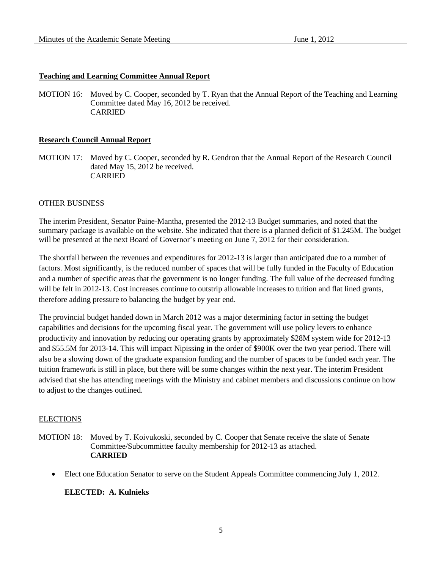## **Teaching and Learning Committee Annual Report**

MOTION 16: Moved by C. Cooper, seconded by T. Ryan that the Annual Report of the Teaching and Learning Committee dated May 16, 2012 be received. **CARRIED** 

#### **Research Council Annual Report**

MOTION 17: Moved by C. Cooper, seconded by R. Gendron that the Annual Report of the Research Council dated May 15, 2012 be received. CARRIED

### OTHER BUSINESS

The interim President, Senator Paine-Mantha, presented the 2012-13 Budget summaries, and noted that the summary package is available on the website. She indicated that there is a planned deficit of \$1.245M. The budget will be presented at the next Board of Governor's meeting on June 7, 2012 for their consideration.

The shortfall between the revenues and expenditures for 2012-13 is larger than anticipated due to a number of factors. Most significantly, is the reduced number of spaces that will be fully funded in the Faculty of Education and a number of specific areas that the government is no longer funding. The full value of the decreased funding will be felt in 2012-13. Cost increases continue to outstrip allowable increases to tuition and flat lined grants, therefore adding pressure to balancing the budget by year end.

The provincial budget handed down in March 2012 was a major determining factor in setting the budget capabilities and decisions for the upcoming fiscal year. The government will use policy levers to enhance productivity and innovation by reducing our operating grants by approximately \$28M system wide for 2012-13 and \$55.5M for 2013-14. This will impact Nipissing in the order of \$900K over the two year period. There will also be a slowing down of the graduate expansion funding and the number of spaces to be funded each year. The tuition framework is still in place, but there will be some changes within the next year. The interim President advised that she has attending meetings with the Ministry and cabinet members and discussions continue on how to adjust to the changes outlined.

## **ELECTIONS**

- MOTION 18: Moved by T. Koivukoski, seconded by C. Cooper that Senate receive the slate of Senate Committee/Subcommittee faculty membership for 2012-13 as attached. **CARRIED**
	- Elect one Education Senator to serve on the Student Appeals Committee commencing July 1, 2012.

## **ELECTED: A. Kulnieks**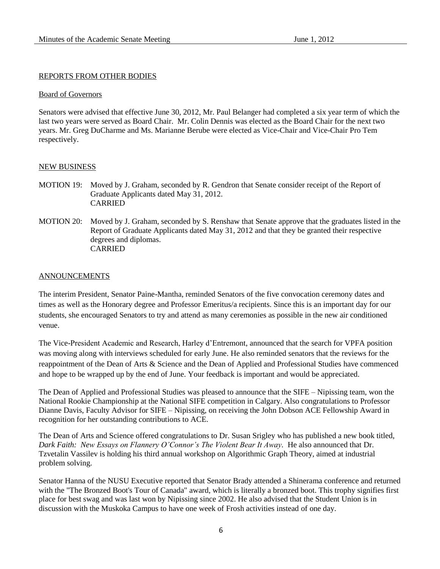### REPORTS FROM OTHER BODIES

#### Board of Governors

Senators were advised that effective June 30, 2012, Mr. Paul Belanger had completed a six year term of which the last two years were served as Board Chair. Mr. Colin Dennis was elected as the Board Chair for the next two years. Mr. Greg DuCharme and Ms. Marianne Berube were elected as Vice-Chair and Vice-Chair Pro Tem respectively.

#### NEW BUSINESS

- MOTION 19: Moved by J. Graham, seconded by R. Gendron that Senate consider receipt of the Report of Graduate Applicants dated May 31, 2012. CARRIED
- MOTION 20: Moved by J. Graham, seconded by S. Renshaw that Senate approve that the graduates listed in the Report of Graduate Applicants dated May 31, 2012 and that they be granted their respective degrees and diplomas. CARRIED

### **ANNOUNCEMENTS**

The interim President, Senator Paine-Mantha, reminded Senators of the five convocation ceremony dates and times as well as the Honorary degree and Professor Emeritus/a recipients. Since this is an important day for our students, she encouraged Senators to try and attend as many ceremonies as possible in the new air conditioned venue.

The Vice-President Academic and Research, Harley d'Entremont, announced that the search for VPFA position was moving along with interviews scheduled for early June. He also reminded senators that the reviews for the reappointment of the Dean of Arts & Science and the Dean of Applied and Professional Studies have commenced and hope to be wrapped up by the end of June. Your feedback is important and would be appreciated.

The Dean of Applied and Professional Studies was pleased to announce that the SIFE – Nipissing team, won the National Rookie Championship at the National SIFE competition in Calgary. Also congratulations to Professor Dianne Davis, Faculty Advisor for SIFE – Nipissing, on receiving the John Dobson ACE Fellowship Award in recognition for her outstanding contributions to ACE.

The Dean of Arts and Science offered congratulations to Dr. Susan Srigley who has published a new book titled, Dark Faith: New Essays on Flannery O'Connor's The Violent Bear It Away. He also announced that Dr. Tzvetalin Vassilev is holding his third annual workshop on Algorithmic Graph Theory, aimed at industrial problem solving.

Senator Hanna of the NUSU Executive reported that Senator Brady attended a Shinerama conference and returned with the "The Bronzed Boot's Tour of Canada" award, which is literally a bronzed boot. This trophy signifies first place for best swag and was last won by Nipissing since 2002. He also advised that the Student Union is in discussion with the Muskoka Campus to have one week of Frosh activities instead of one day.